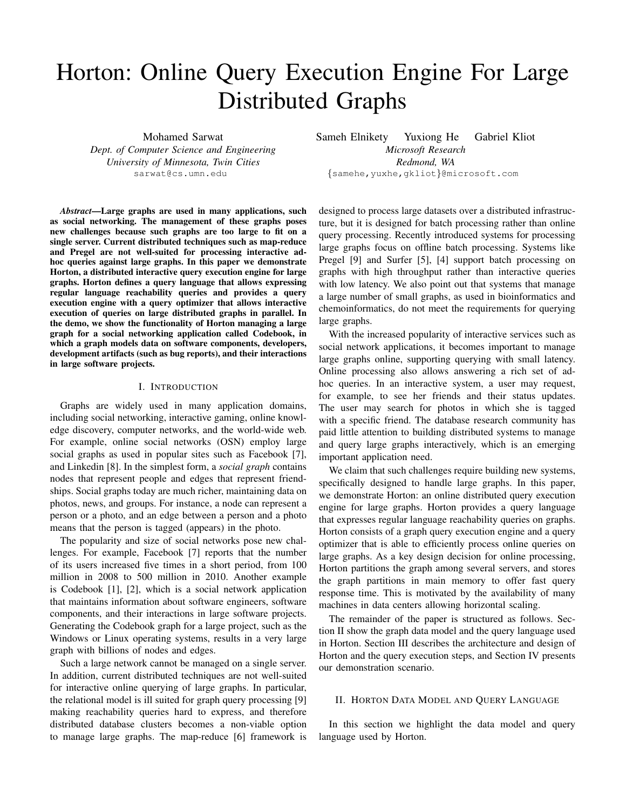# Horton: Online Query Execution Engine For Large Distributed Graphs

Mohamed Sarwat

*Dept. of Computer Science and Engineering University of Minnesota, Twin Cities* sarwat@cs.umn.edu

*Abstract*—Large graphs are used in many applications, such as social networking. The management of these graphs poses new challenges because such graphs are too large to fit on a single server. Current distributed techniques such as map-reduce and Pregel are not well-suited for processing interactive adhoc queries against large graphs. In this paper we demonstrate Horton, a distributed interactive query execution engine for large graphs. Horton defines a query language that allows expressing regular language reachability queries and provides a query execution engine with a query optimizer that allows interactive execution of queries on large distributed graphs in parallel. In the demo, we show the functionality of Horton managing a large graph for a social networking application called Codebook, in which a graph models data on software components, developers, development artifacts (such as bug reports), and their interactions in large software projects.

#### I. INTRODUCTION

Graphs are widely used in many application domains, including social networking, interactive gaming, online knowledge discovery, computer networks, and the world-wide web. For example, online social networks (OSN) employ large social graphs as used in popular sites such as Facebook [7], and Linkedin [8]. In the simplest form, a *social graph* contains nodes that represent people and edges that represent friendships. Social graphs today are much richer, maintaining data on photos, news, and groups. For instance, a node can represent a person or a photo, and an edge between a person and a photo means that the person is tagged (appears) in the photo.

The popularity and size of social networks pose new challenges. For example, Facebook [7] reports that the number of its users increased five times in a short period, from 100 million in 2008 to 500 million in 2010. Another example is Codebook [1], [2], which is a social network application that maintains information about software engineers, software components, and their interactions in large software projects. Generating the Codebook graph for a large project, such as the Windows or Linux operating systems, results in a very large graph with billions of nodes and edges.

Such a large network cannot be managed on a single server. In addition, current distributed techniques are not well-suited for interactive online querying of large graphs. In particular, the relational model is ill suited for graph query processing [9] making reachability queries hard to express, and therefore distributed database clusters becomes a non-viable option to manage large graphs. The map-reduce [6] framework is Sameh Elnikety Yuxiong He Gabriel Kliot *Microsoft Research*

*Redmond, WA* {samehe,yuxhe,gkliot}@microsoft.com

designed to process large datasets over a distributed infrastructure, but it is designed for batch processing rather than online query processing. Recently introduced systems for processing large graphs focus on offline batch processing. Systems like Pregel [9] and Surfer [5], [4] support batch processing on graphs with high throughput rather than interactive queries with low latency. We also point out that systems that manage a large number of small graphs, as used in bioinformatics and chemoinformatics, do not meet the requirements for querying large graphs.

With the increased popularity of interactive services such as social network applications, it becomes important to manage large graphs online, supporting querying with small latency. Online processing also allows answering a rich set of adhoc queries. In an interactive system, a user may request, for example, to see her friends and their status updates. The user may search for photos in which she is tagged with a specific friend. The database research community has paid little attention to building distributed systems to manage and query large graphs interactively, which is an emerging important application need.

We claim that such challenges require building new systems, specifically designed to handle large graphs. In this paper, we demonstrate Horton: an online distributed query execution engine for large graphs. Horton provides a query language that expresses regular language reachability queries on graphs. Horton consists of a graph query execution engine and a query optimizer that is able to efficiently process online queries on large graphs. As a key design decision for online processing, Horton partitions the graph among several servers, and stores the graph partitions in main memory to offer fast query response time. This is motivated by the availability of many machines in data centers allowing horizontal scaling.

The remainder of the paper is structured as follows. Section II show the graph data model and the query language used in Horton. Section III describes the architecture and design of Horton and the query execution steps, and Section IV presents our demonstration scenario.

## II. HORTON DATA MODEL AND QUERY LANGUAGE

In this section we highlight the data model and query language used by Horton.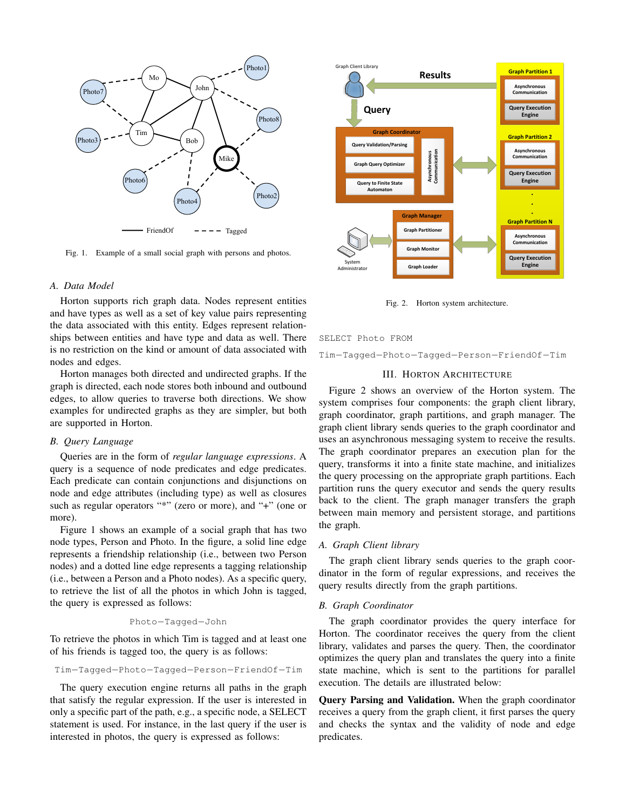

Fig. 1. Example of a small social graph with persons and photos.

## *A. Data Model*

Horton supports rich graph data. Nodes represent entities and have types as well as a set of key value pairs representing the data associated with this entity. Edges represent relationships between entities and have type and data as well. There is no restriction on the kind or amount of data associated with nodes and edges.

Horton manages both directed and undirected graphs. If the graph is directed, each node stores both inbound and outbound edges, to allow queries to traverse both directions. We show examples for undirected graphs as they are simpler, but both are supported in Horton.

## *B. Query Language*

Queries are in the form of *regular language expressions*. A query is a sequence of node predicates and edge predicates. Each predicate can contain conjunctions and disjunctions on node and edge attributes (including type) as well as closures such as regular operators "\*" (zero or more), and "+" (one or more).

Figure 1 shows an example of a social graph that has two node types, Person and Photo. In the figure, a solid line edge represents a friendship relationship (i.e., between two Person nodes) and a dotted line edge represents a tagging relationship (i.e., between a Person and a Photo nodes). As a specific query, to retrieve the list of all the photos in which John is tagged, the query is expressed as follows:

#### Photo−Tagged−John

To retrieve the photos in which Tim is tagged and at least one of his friends is tagged too, the query is as follows:

Tim−Tagged−Photo−Tagged−Person−FriendOf−Tim

The query execution engine returns all paths in the graph that satisfy the regular expression. If the user is interested in only a specific part of the path, e.g., a specific node, a SELECT statement is used. For instance, in the last query if the user is interested in photos, the query is expressed as follows:



Fig. 2. Horton system architecture.

SELECT Photo FROM

Tim−Tagged−Photo−Tagged−Person−FriendOf−Tim

#### III. HORTON ARCHITECTURE

Figure 2 shows an overview of the Horton system. The system comprises four components: the graph client library, graph coordinator, graph partitions, and graph manager. The graph client library sends queries to the graph coordinator and uses an asynchronous messaging system to receive the results. The graph coordinator prepares an execution plan for the query, transforms it into a finite state machine, and initializes the query processing on the appropriate graph partitions. Each partition runs the query executor and sends the query results back to the client. The graph manager transfers the graph between main memory and persistent storage, and partitions the graph.

## *A. Graph Client library*

The graph client library sends queries to the graph coordinator in the form of regular expressions, and receives the query results directly from the graph partitions.

#### *B. Graph Coordinator*

The graph coordinator provides the query interface for Horton. The coordinator receives the query from the client library, validates and parses the query. Then, the coordinator optimizes the query plan and translates the query into a finite state machine, which is sent to the partitions for parallel execution. The details are illustrated below:

Query Parsing and Validation. When the graph coordinator receives a query from the graph client, it first parses the query and checks the syntax and the validity of node and edge predicates.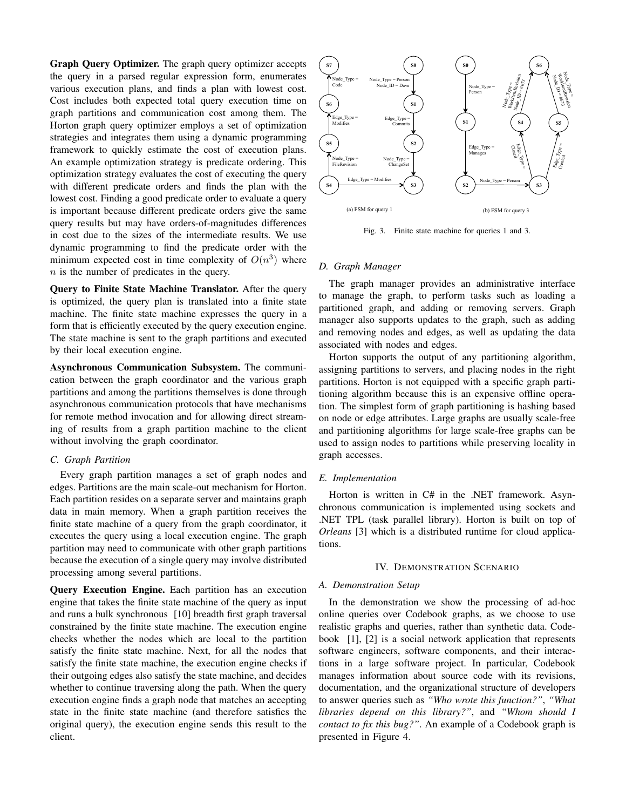Graph Query Optimizer. The graph query optimizer accepts the query in a parsed regular expression form, enumerates various execution plans, and finds a plan with lowest cost. Cost includes both expected total query execution time on graph partitions and communication cost among them. The Horton graph query optimizer employs a set of optimization strategies and integrates them using a dynamic programming framework to quickly estimate the cost of execution plans. An example optimization strategy is predicate ordering. This optimization strategy evaluates the cost of executing the query with different predicate orders and finds the plan with the lowest cost. Finding a good predicate order to evaluate a query is important because different predicate orders give the same query results but may have orders-of-magnitudes differences in cost due to the sizes of the intermediate results. We use dynamic programming to find the predicate order with the minimum expected cost in time complexity of  $O(n^3)$  where  $n$  is the number of predicates in the query.

Query to Finite State Machine Translator. After the query is optimized, the query plan is translated into a finite state machine. The finite state machine expresses the query in a form that is efficiently executed by the query execution engine. The state machine is sent to the graph partitions and executed by their local execution engine.

Asynchronous Communication Subsystem. The communication between the graph coordinator and the various graph partitions and among the partitions themselves is done through asynchronous communication protocols that have mechanisms for remote method invocation and for allowing direct streaming of results from a graph partition machine to the client without involving the graph coordinator.

## *C. Graph Partition*

Every graph partition manages a set of graph nodes and edges. Partitions are the main scale-out mechanism for Horton. Each partition resides on a separate server and maintains graph data in main memory. When a graph partition receives the finite state machine of a query from the graph coordinator, it executes the query using a local execution engine. The graph partition may need to communicate with other graph partitions because the execution of a single query may involve distributed processing among several partitions.

Query Execution Engine. Each partition has an execution engine that takes the finite state machine of the query as input and runs a bulk synchronous [10] breadth first graph traversal constrained by the finite state machine. The execution engine checks whether the nodes which are local to the partition satisfy the finite state machine. Next, for all the nodes that satisfy the finite state machine, the execution engine checks if their outgoing edges also satisfy the state machine, and decides whether to continue traversing along the path. When the query execution engine finds a graph node that matches an accepting state in the finite state machine (and therefore satisfies the original query), the execution engine sends this result to the client.



Fig. 3. Finite state machine for queries 1 and 3.

#### *D. Graph Manager*

The graph manager provides an administrative interface to manage the graph, to perform tasks such as loading a partitioned graph, and adding or removing servers. Graph manager also supports updates to the graph, such as adding and removing nodes and edges, as well as updating the data associated with nodes and edges.

Horton supports the output of any partitioning algorithm, assigning partitions to servers, and placing nodes in the right partitions. Horton is not equipped with a specific graph partitioning algorithm because this is an expensive offline operation. The simplest form of graph partitioning is hashing based on node or edge attributes. Large graphs are usually scale-free and partitioning algorithms for large scale-free graphs can be used to assign nodes to partitions while preserving locality in graph accesses.

## *E. Implementation*

Horton is written in C# in the .NET framework. Asynchronous communication is implemented using sockets and .NET TPL (task parallel library). Horton is built on top of *Orleans* [3] which is a distributed runtime for cloud applications.

### IV. DEMONSTRATION SCENARIO

#### *A. Demonstration Setup*

In the demonstration we show the processing of ad-hoc online queries over Codebook graphs, as we choose to use realistic graphs and queries, rather than synthetic data. Codebook [1], [2] is a social network application that represents software engineers, software components, and their interactions in a large software project. In particular, Codebook manages information about source code with its revisions, documentation, and the organizational structure of developers to answer queries such as *"Who wrote this function?"*, *"What libraries depend on this library?"*, and *"Whom should I contact to fix this bug?"*. An example of a Codebook graph is presented in Figure 4.